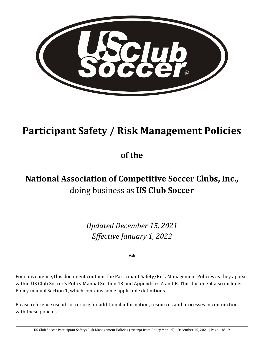

# **Participant Safety / Risk Management Policies**

**of the** 

## **National Association of Competitive Soccer Clubs, Inc.,**  doing business as **US Club Soccer**

*Updated December 15, 2021 Effective January 1, 2022*

**\*\***

For convenience, this document contains the Participant Safety/Risk Management Policies as they appear within US Club Soccer's Policy Manual Section 13 and Appendices A and B. This document also includes Policy manual Section 1, which contains some applicable definitions.

Please reference usclubsoccer.org for additional information, resources and processes in conjunction with these policies.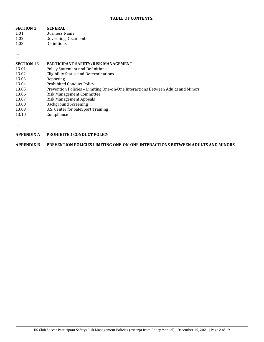#### **TABLE OF CONTENTS:**

| <b>GENERAL</b>             |
|----------------------------|
| <b>Business Name</b>       |
| <b>Governing Documents</b> |
| Definitions                |
|                            |

…

#### **SECTION 13 PARTICIPANT SAFETY/RISK MANAGEMENT**

| <u>DUUILVII IU</u> |                                                                                  |
|--------------------|----------------------------------------------------------------------------------|
| 13.01              | <b>Policy Statement and Definitions</b>                                          |
| 13.02              | <b>Eligibility Status and Determinations</b>                                     |
| 13.03              | Reporting                                                                        |
| 13.04              | <b>Prohibited Conduct Policy</b>                                                 |
| 13.05              | Prevention Policies - Limiting One-on-One Interactions Between Adults and Minors |
| 13.06              | Risk Management Committee                                                        |
| 13.07              | <b>Risk Management Appeals</b>                                                   |
| 13.08              | <b>Background Screening</b>                                                      |
| 13.09              | U.S. Center for SafeSport Training                                               |
| 13.10              | Compliance                                                                       |
|                    |                                                                                  |

**...**

| APPENDIX A | <b>PROHIBITED CONDUCT POLICY</b> |
|------------|----------------------------------|
|            |                                  |

**APPENDIX B PREVENTION POLICIES LIMITING ONE-ON-ONE INTERACTIONS BETWEEN ADULTS AND MINORS**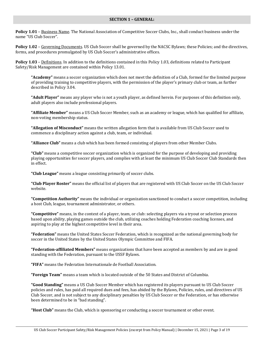#### **SECTION 1 – GENERAL:**

**Policy 1.01** – Business Name. The National Association of Competitive Soccer Clubs, Inc., shall conduct business under the name "US Club Soccer".

**Policy 1.02** – Governing Documents. US Club Soccer shall be governed by the NACSC Bylaws; these Policies; and the directives, forms, and procedures promulgated by US Club Soccer's administrative offices.

**Policy 1.03** – Definitions. In addition to the definitions contained in this Policy 1.03, definitions related to Participant Safety/Risk Management are contained within Policy 13.01.

**"Academy"** means a soccer organization which does not meet the definition of a Club, formed for the limited purpose of providing training to competitive players, with the permission of the player's primary club or team, as further described in Policy 3.04.

**"Adult Player"** means any player who is not a youth player, as defined herein. For purposes of this definition only, adult players also include professional players.

**"Affiliate Member"** means a US Club Soccer Member, such as an academy or league, which has qualified for affiliate, non-voting membership status.

**"Allegation of Misconduct"** means the written allegation form that is available from US Club Soccer used to commence a disciplinary action against a club, team, or individual.

**"Alliance Club"** means a club which has been formed consisting of players from other Member Clubs.

**"Club"** means a competitive soccer organization which is organized for the purpose of developing and providing playing opportunities for soccer players, and complies with at least the minimum US Club Soccer Club Standards then in effect.

**"Club League"** means a league consisting primarily of soccer clubs.

**"Club Player Roster"** means the official list of players that are registered with US Club Soccer on the US Club Soccer website.

**"Competition Authority"** means the individual or organization sanctioned to conduct a soccer competition, including a host Club, league, tournament administrator, or others.

**"Competitive"** means, in the context of a player, team, or club: selecting players via a tryout or selection process based upon ability, playing games outside the club, utilizing coaches holding Federation coaching licenses, and aspiring to play at the highest competitive level in their area.

**"Federation"** means the United States Soccer Federation, which is recognized as the national governing body for soccer in the United States by the United States Olympic Committee and FIFA.

**"Federation-affiliated Members"** means organizations that have been accepted as members by and are in good standing with the Federation, pursuant to the USSF Bylaws.

**"FIFA"** means the Federation Internationale de Football Association.

**"Foreign Team"** means a team which is located outside of the 50 States and District of Columbia.

**"Good Standing"** means a US Club Soccer Member which has registered its players pursuant to US Club Soccer policies and rules, has paid all required dues and fees, has abided by the Bylaws, Policies, rules, and directives of US Club Soccer, and is not subject to any disciplinary penalties by US Club Soccer or the Federation, or has otherwise been determined to be in "bad standing".

**"Host Club"** means the Club, which is sponsoring or conducting a soccer tournament or other event.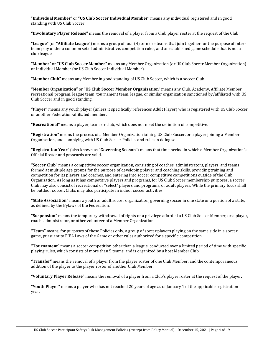"**Individual Member**" or "**US Club Soccer Individual Member**" means any individual registered and in good standing with US Club Soccer.

**"Involuntary Player Release"** means the removal of a player from a Club player roster at the request of the Club.

**"League"** (or **"Affiliate League"**) means a group of four (4) or more teams that join together for the purpose of interteam play under a common set of administrative, competition rules, and an established game schedule that is not a club league.

**"Member"** or **"US Club Soccer Member"** means any Member Organization (or US Club Soccer Member Organization) or Individual Member (or US Club Soccer Individual Member).

**"Member Club"** means any Member in good standing of US Club Soccer, which is a soccer Club.

**"Member Organization"** or "**US Club Soccer Member Organization**" means any Club, Academy, Affiliate Member, recreational program, league team, tournament team, league, or similar organization sanctioned by/affiliated with US Club Soccer and in good standing.

**"Player"** means any youth player (unless it specifically references Adult Player) who is registered with US Club Soccer or another Federation-affiliated member.

**"Recreational"** means a player, team, or club, which does not meet the definition of competitive.

**"Registration"** means the process of a Member Organization joining US Club Soccer, or a player joining a Member Organization, and complying with US Club Soccer Policies and rules in doing so.

**"Registration Year"** (also known as **"Governing Season**") means that time period in which a Member Organization's Official Roster and passcards are valid.

**"Soccer Club"** means a competitive soccer organization, consisting of coaches, administrators, players, and teams formed at multiple age groups for the purpose of developing player and coaching skills, providing training and competition for its players and coaches, and entering into soccer competitive competitions outside of the Club Organization. As long as it has competitive players and programs, for US Club Soccer membership purposes, a soccer Club may also consist of recreational or "select" players and programs, or adult players. While the primary focus shall be outdoor soccer, Clubs may also participate in indoor soccer activities.

**"State Association"** means a youth or adult soccer organization, governing soccer in one state or a portion of a state, as defined by the Bylaws of the Federation.

**"Suspension"** means the temporary withdrawal of rights or a privilege afforded a US Club Soccer Member, or a player, coach, administrator, or other volunteer of a Member Organization.

**"Team"** means, for purposes of these Policies only, a group of soccer players playing on the same side in a soccer game, pursuant to FIFA Laws of the Game or other rules authorized for a specific competition.

**"Tournament"** means a soccer competition other than a league, conducted over a limited period of time with specific playing rules, which consists of more than 5 teams, and is organized by a host Member Club.

**"Transfer"** means the removal of a player from the player roster of one Club Member, and the contemporaneous addition of the player to the player roster of another Club Member.

**"Voluntary Player Release"** means the removal of a player from a Club's player roster at the request of the player.

**"Youth Player"** means a player who has not reached 20 years of age as of January 1 of the applicable registration year.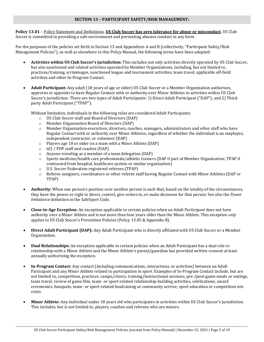#### **SECTION 13 – PARTICIPANT SAFETY/RISK MANAGEMENT:**

**Policy 13.01** – Policy Statement and Definitions. **US Club Soccer has zero tolerance for abuse or misconduct.** US Club Soccer is committed to providing a safe environment and preventing abusive conduct in any form.

For the purposes of the policies set forth in Section 13 and Appendices A and B (collectively, "Participant Safety/Risk Management Policies"), as well as elsewhere in this Policy Manual, the following terms have been adopted:

- **Activities within US Club Soccer's jurisdiction:** This includes not only activities directly operated by US Club Soccer, but also sanctioned and related activities operated by Member Organizations, including, but not limited to, practices/training, scrimmages, sanctioned league and tournament activities, team travel, applicable off-field activities and other In-Program Contact.
- **Adult Participant:** Any adult (18 years of age or older) US Club Soccer or a Member Organization authorizes, approves or appoints to have Regular Contact with or authority over Minor Athletes in activities within US Club Soccer's jurisdiction. There are two types of Adult Participants: 1) Direct Adult Participant ("DAP"); and 2) Thirdparty Adult Participant ("TPAP").

Without limitation, individuals in the following roles are considered Adult Participants:

- o US Club Soccer staff and Board of Directors (DAP)
- o Member Organization Board of Directors (DAP)<br>
o Member Organization executives, directors, coac
- Member Organization executives, directors, coaches, managers, administrators and other staff who have Regular Contact with or authority over Minor Athletes, regardless of whether the individual is an employee, independent contractor, or volunteer (DAP)
- $\circ$  Players age 18 or older on a team with a Minor Athlete (DAP)<br> $\circ$  id2 / PDP staff and coaches (DAP)
- $\circ$  id2 / PDP staff and coaches (DAP)<br>  $\circ$  Anyone traveling as a member of a
- Anyone traveling as a member of a team delegation (DAP)
- o Sports medicine/health care professionals/athletic trainers (DAP if part of Member Organization; TPAP if contracted from hospital, healthcare system or similar organization)
- o U.S. Soccer Federation-registered referees (TPAP)
- o Referee assignors, coordinators or other referee staff having Regular Contact with Minor Athletes (DAP or TPAP)
- **Authority:** When one person's position over another person is such that, based on the totality of the circumstances, they have the power or right to direct, control, give orders to, or make decisions for that person. See also the *Power Imbalance* definition in the SafeSport Code.
- **Close-in-Age Exception:** An exception applicable to certain policies when an Adult Participant does not have authority over a Minor Athlete *and* is not more than four years older than the Minor Athlete. This exception *only* applies to US Club Soccer's Prevention Policies (Policy 13.05 & Appendix B).
- **Direct Adult Participant (DAP):** Any Adult Participant who is directly affiliated with US Club Soccer or a Member Organization.
- **Dual Relationships:** An exception applicable to certain policies when an Adult Participant has a dual role or relationship with a Minor Athlete and the Minor Athlete's parent/guardian has provided written consent at least annually authorizing the exception.
- **In-Program Contact:** Any contact (including communications, interactions, or activities) between an Adult Participant and any Minor Athlete related to participation in sport. Examples of In-Program Contact include, but are not limited to, competition, practices, camps/clinics, training/instructional sessions, pre-/post-game meals or outings, team travel, review of game film, team- or sport-related relationship-building activities, celebrations, award ceremonies, banquets, team- or sport-related fundraising or community service, sport education or competition site visits.
- **Minor Athlete:** Any individual under 18 years old who participates in activities within US Club Soccer's jurisdiction. This includes, but is not limited to, players, coaches and referees who are minors.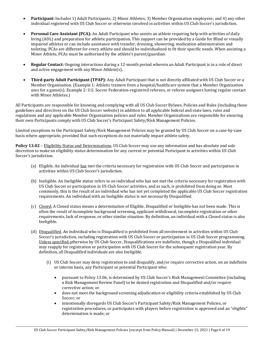- **Participant:** Includes 1) Adult Participants; 2) Minor Athletes; 3) Member Organization employees; and 4) any other individual registered with US Club Soccer or otherwise involved in activities within US Club Soccer's jurisdiction.
- **Personal Care Assistant (PCA):** An Adult Participant who assists an athlete requiring help with activities of daily living (ADL) and preparation for athletic participation. This support can be provided by a Guide for Blind or visually impaired athletes or can include assistance with transfer, dressing, showering, medication administration and toileting. PCAs are different for every athlete and should be individualized to fit their specific needs. When assisting a Minor Athlete, PCAs must be authorized by the athlete's parent/guardian.
- **Regular Contact:** Ongoing interactions during a 12-month period wherein an Adult Participant is in a role of direct and active engagement with any Minor Athlete(s).
- **Third-party Adult Participant (TPAP):** Any Adult Participant that is not directly affiliated with US Club Soccer or a Member Organization. (Example 1: Athletic trainers from a hospital/healthcare system that a Member Organization uses for a game(s). Example 2: U.S. Soccer Federation-registered referees, or referee assignors having regular contact with Minor Athletes.)

All Participants are responsible for knowing and complying with all US Club Soccer Bylaws, Policies and Rules (including those guidelines and directives on the US Club Soccer website) in addition to all applicable federal and state laws, rules and regulations and any applicable Member Organization policies and rules. Member Organizations are responsible for ensuring their own Participants comply with US Club Soccer's Participant Safety/Risk Management Policies.

Limited exceptions to the Participant Safety/Risk Management Policies may be granted by US Club Soccer on a case-by-case basis where appropriate, provided that such exceptions do not materially impact athlete safety.

**Policy 13.02** – Eligibility Status and Determinations. US Club Soccer may use any information and has absolute and sole discretion to make an eligibility status determination for any current or potential Participant in activities within US Club Soccer's jurisdiction.

- (a) Eligible. An individual has met the criteria necessary for registration with US Club Soccer and participation in activities within US Club Soccer's jurisdiction.
- (b) Ineligible. An Ineligible status refers to an individual who has not met the criteria necessary for registration with US Club Soccer or participation in US Club Soccer activities, and as such, is prohibited from doing so. Most commonly, this is the result of an individual who has not yet completed the applicable US Club Soccer registration requirements. An individual with an Ineligible status is not necessarily Disqualified.
- (c) Closed. A Closed status means a determination of Eligible, Disqualified or Ineligible has not been made. This is often the result of incomplete background screening, applicant withdrawal, incomplete registration or other requirements, lack of response, or other similar situation. By definition, an individual with a Closed status is also Ineligible.
- (d) Disqualified. An individual who is Disqualified is prohibited from all involvement in activities within US Club Soccer's jurisdiction, including registration with US Club Soccer or participation in US Club Soccer programming. Unless specified otherwise by US Club Soccer, Disqualifications are indefinite, though a Disqualified individual may reapply for registration or participation with US Club Soccer for the subsequent registration year. By definition, all Disqualified individuals are also Ineligible.
	- (i) US Club Soccer may deny registration to and disqualify, and/or require corrective action, on an indefinite or interim basis, any Participant or potential Participant who:
		- pursuant to Policy 13.06, is determined by US Club Soccer's Risk Management Committee (including a Risk Management Review Panel) to be denied registration and Disqualified and/or require corrective action; or
		- does not meet the background screening adjudication or eligibility criteria established by US Club Soccer; or
		- intentionally disregards US Club Soccer's Participant Safety/Risk Management Policies, or registration procedures, or participates with players before registration is approved and an "eligible" determination is made; or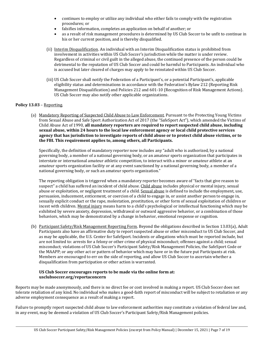- continues to employ or utilize any individual who either fails to comply with the registration procedures; or
- falsifies information, completes an application on behalf of another; or
- as a result of risk management procedures is determined by US Club Soccer to be unfit to continue in his or her current position, and is thereby disqualified.
- (ii) Interim Disqualification. An individual with an Interim Disqualification status is prohibited from involvement in activities within US Club Soccer's jurisdiction while the matter is under review. Regardless of criminal or civil guilt in the alleged abuse, the continued presence of the person could be detrimental to the reputation of US Club Soccer and could be harmful to Participants. An individual who is accused but later cleared of charges may apply to be reinstated within US Club Soccer.
- (iii) US Club Soccer shall notify the Federation of a Participant's, or a potential Participant's, applicable eligibility status and determinations in accordance with the Federation's Bylaw 212 (Reporting Risk Management Disqualification) and Policies 212 and 601-10 (Recognition of Risk Management Actions). US Club Soccer may also notify other applicable organizations.

#### **Policy 13.03** – Reporting.

(a) Mandatory Reporting of Suspected Child Abuse to Law Enforcement. Pursuant to the Protecting Young Victims from Sexual Abuse and Safe Sport Authorization Act of 2017 (the "SafeSport Act"), which amended the Victims of Child Abuse Act of 1990, **all mandatory reporters are required to report suspected child abuse, including sexual abuse, within 24 hours to the local law enforcement agency or local child protective services agency that has jurisdiction to investigate reports of child abuse or to protect child abuse victims, or to the FBI. This requirement applies to, among others, all Participants.**

Specifically, the definition of mandatory reporter now includes any "adult who is authorized, by a national governing body, a member of a national governing body, or an amateur sports organization that participates in interstate or international amateur athletic competition, to interact with a minor or amateur athlete at an amateur sports organization facility or at any event sanctioned by a national governing body, a member of a national governing body, or such an amateur sports organization."

The reporting obligation is triggered when a mandatory reporter becomes aware of "facts that give reason to suspect" a child has suffered an incident of child abuse. Child abuse includes physical or mental injury, sexual abuse or exploitation, or negligent treatment of a child. Sexual abuse is defined to include the employment, use, persuasion, inducement, enticement, or coercion of a child to engage in, or assist another person to engage in, sexually explicit conduct or the rape, molestation, prostitution, or other form of sexual exploitation of children or incest with children. Mental injury means harm to a child's psychological or intellectual functioning which may be exhibited by severe anxiety, depression, withdrawal or outward aggressive behavior, or a combination of those behaviors, which may be demonstrated by a change in behavior, emotional response or cognition.

(b) Participant Safety/Risk Management Reporting Form. Beyond the obligations described in Section 13.03(a), Adult Participants also have an affirmative duty to report suspected abuse or other misconduct to US Club Soccer, and as may be applicable, the U.S. Center for SafeSport. Incidents or allegations which must be reported include, but are not limited to: arrests for a felony or other crime of physical misconduct; offenses against a child; sexual misconduct; violations of US Club Soccer's Participant Safety/Risk Management Policies, the SafeSport Code or the MAAPP; or any other act or pattern of behavior which may have or in the future put Participants at risk. Members are encouraged to err on the side of reporting, and allow US Club Soccer to ascertain whether a disqualification from participation or other action is warranted.

#### **US Club Soccer encourages reports to be made via the online form at: usclubsoccer.org/reportaconcern**

Reports may be made anonymously, and there is no direct fee or cost involved in making a report. US Club Soccer does not tolerate retaliation of any kind. No individual who makes a good-faith report of misconduct will be subject to retaliation or any adverse employment consequence as a result of making a report.

Failure to promptly report suspected child abuse to law enforcement authorities may constitute a violation of federal law and, in any event, may be deemed a violation of US Club Soccer's Participant Safety/Risk Management policies.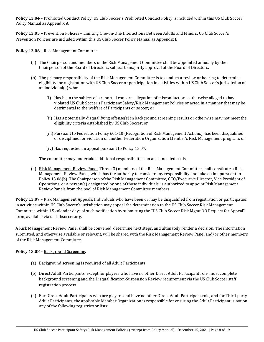**Policy 13.04** – Prohibited Conduct Policy. US Club Soccer's Prohibited Conduct Policy is included within this US Club Soccer Policy Manual as Appendix A.

**Policy 13.05 –** Prevention Policies – Limiting One-on-One Interactions Between Adults and Minors**.** US Club Soccer's Prevention Policies are included within this US Club Soccer Policy Manual as Appendix B.

**Policy 13.06** – Risk Management Committee.

- (a) The Chairperson and members of the Risk Management Committee shall be appointed annually by the Chairperson of the Board of Directors, subject to majority approval of the Board of Directors.
- (b) The primary responsibility of the Risk Management Committee is to conduct a review or hearing to determine eligibility for registration with US Club Soccer or participation in activities within US Club Soccer's jurisdiction of an individual(s) who:
	- (i) Has been the subject of a reported concern, allegation of misconduct or is otherwise alleged to have violated US Club Soccer's Participant Safety/Risk Management Policies or acted in a manner that may be detrimental to the welfare of Participants or soccer; or
	- (ii) Has a potentially disqualifying offense(s) in background screening results or otherwise may not meet the eligibility criteria established by US Club Soccer; or
	- (iii) Pursuant to Federation Policy 601-10 (Recognition of Risk Management Actions), has been disqualified or disciplined for violation of another Federation Organization Member's Risk Management program; or
	- (iv) Has requested an appeal pursuant to Policy 13.07.

The committee may undertake additional responsibilities on an as-needed basis.

(c) Risk Management Review Panel. Three (3) members of the Risk Management Committee shall constitute a Risk Management Review Panel, which has the authority to consider any responsibility and take action pursuant to Policy 13.06(b). The Chairperson of the Risk Management Committee, CEO/Executive Director, Vice President of Operations, or a person(s) designated by one of those individuals, is authorized to appoint Risk Management Review Panels from the pool of Risk Management Committee members.

**Policy 13.07** – Risk Management Appeals. Individuals who have been or may be disqualified from registration or participation in activities within US Club Soccer's jurisdiction may appeal the determination to the US Club Soccer Risk Management Committee within 15 calendar days of such notification by submitting the "US Club Soccer Risk Mgmt DQ Request for Appeal" form, available via usclubsoccer.org.

A Risk Management Review Panel shall be convened, determine next steps, and ultimately render a decision. The information submitted, and otherwise available or relevant, will be shared with the Risk Management Review Panel and/or other members of the Risk Management Committee.

**Policy 13.08** – Background Screening.

- (a) Background screening is required of all Adult Participants.
- (b) Direct Adult Participants, except for players who have no other Direct Adult Participant role, must complete background screening and the Disqualification-Suspension Review requirement via the US Club Soccer staff registration process.
- (c) For Direct Adult Participants who are players and have no other Direct Adult Participant role, and for Third-party Adult Participants, the applicable Member Organization is responsible for ensuring the Adult Participant is not on any of the following registries or lists: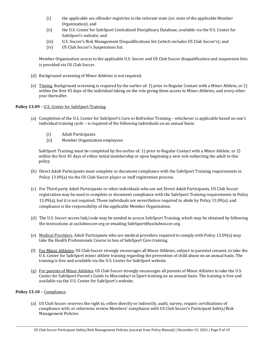- (i) the applicable sex offender registries in the relevant state (ex: state of the applicable Member Organization); and
- (ii) the U.S. Center for SafeSport Centralized Disciplinary Database, available via the U.S. Center for SafeSport's website; and
- (iii) U.S. Soccer's Risk Management Disqualifications list (which includes US Club Soccer's); and
- (iv) US Club Soccer's Suspensions list.

Member Organization access to the applicable U.S. Soccer and US Club Soccer disqualification and suspension lists is provided via US Club Soccer.

- (d) Background screening of Minor Athletes is not required.
- (e) Timing. Background screening is required by the earlier of: 1) prior to Regular Contact with a Minor Athlete, or 2) within the first 45 days of the individual taking on the role giving them access to Minor Athletes, and every other year thereafter.

#### Policy 13.09 - U.S. Center for SafeSport Training.

- (a) Completion of the U.S. Center for SafeSport's Core or Refresher Training whichever is applicable based on one's individual training cycle – is required of the following individuals on an annual basis:
	-
	- (i) Adult Participants<br>(ii) Member Organizat Member Organization employees

SafeSport Training must be completed by the earlier of: 1) prior to Regular Contact with a Minor Athlete, or 2) within the first 45 days of either initial membership or upon beginning a new role subjecting the adult to this policy.

- (b) Direct Adult Participants must complete or document compliance with the SafeSport Training requirements in Policy 13.09(a) via the US Club Soccer player or staff registration process.
- (c) For Third-party Adult Participants or other individuals who are not Direct Adult Participants, US Club Soccer registration may be used to complete or document compliance with the SafeSport Training requirements in Policy 13.09(a), but it is not required. Those individuals are nevertheless required to abide by Policy 13.09(a), and compliance is the responsibility of the applicable Member Organization.
- (d) The U.S. Soccer access link/code may be needed to access SafeSport Training, which may be obtained by following the instructions at usclubsoccer.org or emailing SafeSport@usclubsoccer.org.
- (e) Medical Providers. Adult Participants who are medical providers required to comply with Policy 13.09(a) may take the Health Professionals Course in lieu of SafeSport Core training.
- (f) For Minor Athletes. US Club Soccer strongly encourages all Minor Athletes, subject to parental consent, to take the U.S. Center for SafeSport minor athlete training regarding the prevention of child abuse on an annual basis. The training is free and available via the U.S. Center for SafeSport website.
- (g) For parents of Minor Athletes. US Club Soccer strongly encourages all parents of Minor Athletes to take the U.S. Center for SafeSport Parent's Guide to Misconduct in Sport training on an annual basis. The training is free and available via the U.S. Center for SafeSport's website.

#### **Policy 13.10** – Compliance**.**

(a) US Club Soccer reserves the right to, either directly or indirectly, audit, survey, require certifications of compliance with, or otherwise review Members' compliance with US Club Soccer's Participant Safety/Risk Management Policies.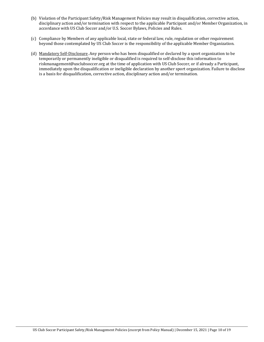- (b) Violation of the Participant Safety/Risk Management Policies may result in disqualification, corrective action, disciplinary action and/or termination with respect to the applicable Participant and/or Member Organization, in accordance with US Club Soccer and/or U.S. Soccer Bylaws, Policies and Rules.
- (c) Compliance by Members of any applicable local, state or federal law, rule, regulation or other requirement beyond those contemplated by US Club Soccer is the responsibility of the applicable Member Organization.
- (d) Mandatory Self-Disclosure. Any person who has been disqualified or declared by a sport organization to be temporarily or permanently ineligible or disqualified is required to self-disclose this information to riskmanagement@usclubsoccer.org at the time of application with US Club Soccer, or if already a Participant, immediately upon the disqualification or ineligible declaration by another sport organization. Failure to disclose is a basis for disqualification, corrective action, disciplinary action and/or termination.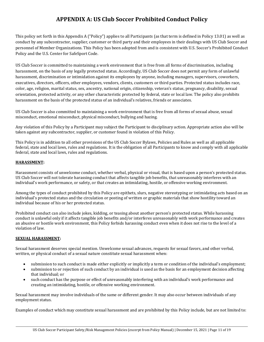### **APPENDIX A: US Club Soccer Prohibited Conduct Policy**

This policy set forth in this Appendix A ("Policy") applies to all Participants (as that term is defined in Policy 13.01) as well as conduct by any subcontractor, supplier, customer or third party and their employees in their dealings with US Club Soccer and personnel of Member Organizations. This Policy has been adopted from and is consistent with U.S. Soccer's Prohibited Conduct Policy and the U.S. Center for SafeSport Code.

US Club Soccer is committed to maintaining a work environment that is free from all forms of discrimination, including harassment, on the basis of any legally protected status. Accordingly, US Club Soccer does not permit any form of unlawful harassment, discrimination or intimidation against its employees by anyone, including managers, supervisors, coworkers, executives, directors, officers, other employees, vendors, clients, customers or third parties. Protected status includes race, color, age, religion, marital status, sex, ancestry, national origin, citizenship, veteran's status, pregnancy, disability, sexual orientation, protected activity, or any other characteristic protected by federal, state or local law. The policy also prohibits harassment on the basis of the protected status of an individual's relatives, friends or associates.

US Club Soccer is also committed to maintaining a work environment that is free from all forms of sexual abuse, sexual misconduct, emotional misconduct, physical misconduct, bullying and hazing.

Any violation of this Policy by a Participant may subject the Participant to disciplinary action. Appropriate action also will be taken against any subcontractor, supplier, or customer found in violation of this Policy.

This Policy is in addition to all other provisions of the US Club Soccer Bylaws, Policies and Rules as well as all applicable federal, state and local laws, rules and regulations. It is the obligation of all Participants to know and comply with all applicable federal, state and local laws, rules and regulations.

#### **HARASSMENT:**

Harassment consists of unwelcome conduct, whether verbal, physical or visual, that is based upon a person's protected status. US Club Soccer will not tolerate harassing conduct that affects tangible job benefits, that unreasonably interferes with an individual's work performance, or safety, or that creates an intimidating, hostile, or offensive working environment.

Among the types of conduct prohibited by this Policy are epithets, slurs, negative stereotyping or intimidating acts based on an individual's protected status and the circulation or posting of written or graphic materials that show hostility toward an individual because of his or her protected status.

Prohibited conduct can also include jokes, kidding, or teasing about another person's protected status. While harassing conduct is unlawful only if it affects tangible job benefits and/or interferes unreasonably with work performance and creates an abusive or hostile work environment, this Policy forbids harassing conduct even when it does not rise to the level of a violation of law.

#### **SEXUAL HARASSMENT:**

Sexual harassment deserves special mention. Unwelcome sexual advances, requests for sexual favors, and other verbal, written, or physical conduct of a sexual nature constitute sexual harassment when:

- submission to such conduct is made either explicitly or implicitly a term or condition of the individual's employment;
- submission to or rejection of such conduct by an individual is used as the basis for an employment decision affecting that individual; or
- such conduct has the purpose or effect of unreasonably interfering with an individual's work performance and creating an intimidating, hostile, or offensive working environment.

Sexual harassment may involve individuals of the same or different gender. It may also occur between individuals of any employment status.

Examples of conduct which may constitute sexual harassment and are prohibited by this Policy include, but are not limited to: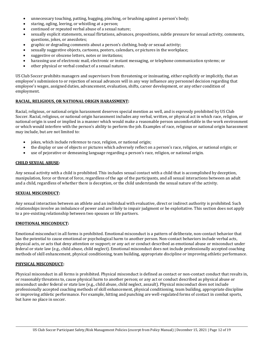- unnecessary touching, patting, hugging, pinching, or brushing against a person's body;
- staring, ogling, leering, or whistling at a person;
- continued or repeated verbal abuse of a sexual nature;
- sexually explicit statements, sexual flirtations, advances, propositions, subtle pressure for sexual activity, comments, questions, jokes, or anecdotes;
- graphic or degrading comments about a person's clothing, body or sexual activity;
- sexually suggestive objects, cartoons, posters, calendars, or pictures in the workplace;
- suggestive or obscene letters, notes or invitations;
- harassing use of electronic mail, electronic or instant messaging, or telephone communication systems; or
- other physical or verbal conduct of a sexual nature.

US Club Soccer prohibits managers and supervisors from threatening or insinuating, either explicitly or implicitly, that an employee's submission to or rejection of sexual advances will in any way influence any personnel decision regarding that employee's wages, assigned duties, advancement, evaluation, shifts, career development, or any other condition of employment.

#### **RACIAL, RELIGIOUS, OR NATIONAL ORIGIN HARASSMENT:**

Racial, religious, or national origin harassment deserves special mention as well, and is expressly prohibited by US Club Soccer. Racial, religious, or national origin harassment includes any verbal, written, or physical act in which race, religion, or national origin is used or implied in a manner which would make a reasonable person uncomfortable in the work environment or which would interfere with the person's ability to perform the job. Examples of race, religious or national origin harassment may include, but are not limited to:

- jokes, which include reference to race, religion, or national origin;
- the display or use of objects or pictures which adversely reflect on a person's race, religion, or national origin; or
- use of pejorative or demeaning language regarding a person's race, religion, or national origin.

#### **CHILD SEXUAL ABUSE:**

Any sexual activity with a child is prohibited. This includes sexual contact with a child that is accomplished by deception, manipulation, force or threat of force, regardless of the age of the participants, and all sexual interactions between an adult and a child, regardless of whether there is deception, or the child understands the sexual nature of the activity.

#### **SEXUAL MISCONDUCT:**

Any sexual interaction between an athlete and an individual with evaluative, direct or indirect authority is prohibited. Such relationships involve an imbalance of power and are likely to impair judgment or be exploitative. This section does not apply to a pre-existing relationship between two spouses or life partners.

#### **EMOTIONAL MISCONDUCT:**

Emotional misconduct in all forms is prohibited. Emotional misconduct is a pattern of deliberate, non-contact behavior that has the potential to cause emotional or psychological harm to another person. Non-contact behaviors include verbal acts, physical acts, or acts that deny attention or support; or any act or conduct described as emotional abuse or misconduct under federal or state law (e.g., child abuse, child neglect). Emotional misconduct does not include professionally accepted coaching methods of skill enhancement, physical conditioning, team building, appropriate discipline or improving athletic performance.

#### **PHYSICAL MISCONDUCT:**

Physical misconduct in all forms is prohibited. Physical misconduct is defined as contact or non-contact conduct that results in, or reasonably threatens to, cause physical harm to another person; or any act or conduct described as physical abuse or misconduct under federal or state law (e.g., child abuse, child neglect, assault). Physical misconduct does not include professionally accepted coaching methods of skill enhancement, physical conditioning, team building, appropriate discipline or improving athletic performance. For example, hitting and punching are well-regulated forms of contact in combat sports, but have no place in soccer.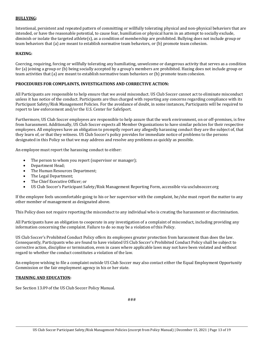#### **BULLYING:**

Intentional, persistent and repeated pattern of committing or willfully tolerating physical and non-physical behaviors that are intended, or have the reasonable potential, to cause fear, humiliation or physical harm in an attempt to socially exclude, diminish or isolate the targeted athlete(s), as a condition of membership are prohibited. Bullying does not include group or team behaviors that (a) are meant to establish normative team behaviors, or (b) promote team cohesion.

#### **HAZING:**

Coercing, requiring, forcing or willfully tolerating any humiliating, unwelcome or dangerous activity that serves as a condition for (a) joining a group or (b) being socially accepted by a group's members are prohibited. Hazing does not include group or team activities that (a) are meant to establish normative team behaviors or (b) promote team cohesion.

#### **PROCEDURES FOR COMPLAINTS, INVESTIGATIONS AND CORRECTIVE ACTION:**

All Participants are responsible to help ensure that we avoid misconduct. US Club Soccer cannot act to eliminate misconduct unless it has notice of the conduct. Participants are thus charged with reporting any concerns regarding compliance with its Participant Safety/Risk Management Policies. For the avoidance of doubt, in some instances, Participants will be required to report to law enforcement and/or the U.S. Center for SafeSport.

Furthermore, US Club Soccer employees are responsible to help assure that the work environment, on or off-premises, is free from harassment. Additionally, US Club Soccer expects all Member Organizations to have similar policies for their respective employees. All employees have an obligation to promptly report any allegedly harassing conduct they are the subject of, that they learn of, or that they witness. US Club Soccer's policy provides for immediate notice of problems to the persons designated in this Policy so that we may address and resolve any problems as quickly as possible.

An employee must report the harassing conduct to either:

- The person to whom you report (supervisor or manager);
- Department Head;
- The Human Resources Department;
- The Legal Department;
- The Chief Executive Officer; or
- US Club Soccer's Participant Safety/Risk Management Reporting Form, accessible via usclubsoccer.org

If the employee feels uncomfortable going to his or her supervisor with the complaint, he/she must report the matter to any other member of management as designated above.

This Policy does not require reporting the misconduct to any individual who is creating the harassment or discrimination.

All Participants have an obligation to cooperate in any investigation of a complaint of misconduct, including providing any information concerning the complaint. Failure to do so may be a violation of this Policy.

US Club Soccer's Prohibited Conduct Policy offers its employees greater protection from harassment than does the law. Consequently, Participants who are found to have violated US Club Soccer's Prohibited Conduct Policy shall be subject to corrective action, discipline or termination, even in cases where applicable laws may not have been violated and without regard to whether the conduct constitutes a violation of the law.

An employee wishing to file a complaint outside US Club Soccer may also contact either the Equal Employment Opportunity Commission or the fair employment agency in his or her state.

#### **TRAINING AND EDUCATION:**

See Section 13.09 of the US Club Soccer Policy Manual.

###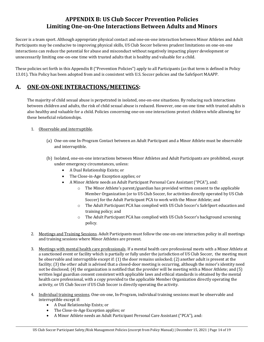### **APPENDIX B: US Club Soccer Prevention Policies Limiting One-on-One Interactions Between Adults and Minors**

Soccer is a team sport. Although appropriate physical contact and one-on-one interaction between Minor Athletes and Adult Participants may be conducive to improving physical skills, US Club Soccer believes prudent limitations on one-on-one interactions can reduce the potential for abuse and misconduct without negatively impacting player development or unnecessarily limiting one-on-one time with trusted adults that is healthy and valuable for a child.

These policies set forth in this Appendix B ("Prevention Policies") apply to all Participants (as that term is defined in Policy 13.01). This Policy has been adopted from and is consistent with U.S. Soccer policies and the SafeSport MAAPP.

### **A. ONE-ON-ONE INTERACTIONS/MEETINGS:**

The majority of child sexual abuse is perpetrated in isolated, one-on-one situations. By reducing such interactions between children and adults, the risk of child sexual abuse is reduced. However, one-on-one time with trusted adults is also healthy and valuable for a child. Policies concerning one-on-one interactions protect children while allowing for these beneficial relationships.

#### 1. Observable and interruptible.

- (a) One-on-one In-Program Contact between an Adult Participant and a Minor Athlete must be observable and interruptible.
- (b) Isolated, one-on-one interactions between Minor Athletes and Adult Participants are prohibited, except under emergency circumstances, unless:
	- A Dual Relationship Exists; or
	- The Close-in-Age Exception applies; or
	- A Minor Athlete needs an Adult Participant Personal Care Assistant ("PCA"), and:
		- The Minor Athlete's parent/guardian has provided written consent to the applicable Member Organization (or to US Club Soccer, for activities directly operated by US Club Soccer) for the Adult Participant PCA to work with the Minor Athlete; and
		- o The Adult Participant PCA has complied with US Club Soccer's SafeSport education and training policy; and
		- o The Adult Participant PCA has complied with US Club Soccer's background screening policy.
- 2. Meetings and Training Sessions. Adult Participants must follow the one-on-one interaction policy in all meetings and training sessions where Minor Athletes are present.
- 3. Meetings with mental health care professionals. If a mental health care professional meets with a Minor Athlete at a sanctioned event or facility which is partially or fully under the jurisdiction of US Club Soccer, the meeting must be observable and interruptible except if: (1) the door remains unlocked; (2) another adult is present at the facility; (3) the other adult is advised that a closed-door meeting is occurring, although the minor's identity need not be disclosed; (4) the organization is notified that the provider will be meeting with a Minor Athlete; and (5) written legal guardian consent consistent with applicable laws and ethical standards is obtained by the mental health care professional, with a copy provided to the applicable Member Organization directly operating the activity, or US Club Soccer if US Club Soccer is directly operating the activity.
- 4. Individual training sessions. One-on-one, In-Program, individual training sessions must be observable and interruptible except if:
	- A Dual Relationship Exists; or
	- The Close-in-Age Exception applies; or
	- A Minor Athlete needs an Adult Participant Personal Care Assistant ("PCA"), and: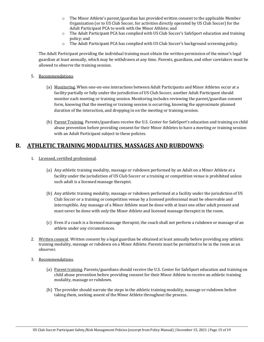- $\circ$  The Minor Athlete's parent/guardian has provided written consent to the applicable Member Organization (or to US Club Soccer, for activities directly operated by US Club Soccer) for the Adult Participant PCA to work with the Minor Athlete; and
- o The Adult Participant PCA has complied with US Club Soccer's SafeSport education and training policy; and
- o The Adult Participant PCA has complied with US Club Soccer's background screening policy.

The Adult Participant providing the individual training must obtain the written permission of the minor's legal guardian at least annually, which may be withdrawn at any time. Parents, guardians, and other caretakers must be allowed to observe the training session.

- 5. Recommendations.
	- (a) Monitoring. When one-on-one interactions between Adult Participants and Minor Athletes occur at a facility partially or fully under the jurisdiction of US Club Soccer, another Adult Participant should monitor each meeting or training session. Monitoring includes reviewing the parent/guardian consent form, knowing that the meeting or training session is occurring, knowing the approximate planned duration of the interaction, and dropping in on the meeting or training session.
	- (b) Parent Training. Parents/guardians receive the U.S. Center for SafeSport's education and training on child abuse prevention before providing consent for their Minor Athletes to have a meeting or training session with an Adult Participant subject to these policies.

### **B. ATHLETIC TRAINING MODALITIES, MASSAGES AND RUBDOWNS:**

- 1. Licensed, certified professional.
	- (a) Any athletic training modality, massage or rubdown performed by an Adult on a Minor Athlete at a facility under the jurisdiction of US Club Soccer or a training or competition venue is prohibited unless such adult is a licensed massage therapist.
	- (b) Any athletic training modality, massage or rubdown performed at a facility under the jurisdiction of US Club Soccer or a training or competition venue by a licensed professional must be observable and interruptible. Any massage of a Minor Athlete must be done with at least one other adult present and must never be done with only the Minor Athlete and licensed massage therapist in the room.
	- (c) Even if a coach is a licensed massage therapist, the coach shall not perform a rubdown or massage of an athlete under any circumstances.
- 2. Written consent. Written consent by a legal guardian be obtained at least annually before providing any athletic training modality, massage or rubdown on a Minor Athlete. Parents must be permitted to be in the room as an observer.
- 3. Recommendations.
	- (a) Parent training. Parents/guardians should receive the U.S. Center for SafeSport education and training on child abuse prevention before providing consent for their Minor Athlete to receive an athletic training modality, massage or rubdown.
	- (b) The provider should narrate the steps in the athletic training modality, massage or rubdown before taking them, seeking assent of the Minor Athlete throughout the process.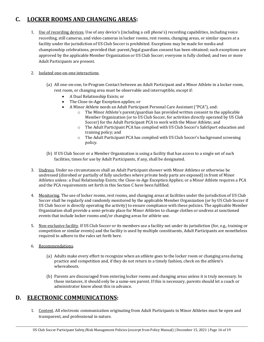### **C. LOCKER ROOMS AND CHANGING AREAS:**

1. Use of recording devices. Use of any device's (including a cell phone's) recording capabilities, including voice recording, still cameras, and video cameras in locker rooms, rest rooms, changing areas, or similar spaces at a facility under the jurisdiction of US Club Soccer is prohibited. Exceptions may be made for media and championship celebrations, provided that: parent/legal guardian consent has been obtained; such exceptions are approved by the applicable Member Organization or US Club Soccer; everyone is fully clothed; and two or more Adult Participants are present.

#### 2. Isolated one-on-one interactions.

- (a) All one-on-one, In-Program Contact between an Adult Participant and a Minor Athlete in a locker room, rest room, or changing area must be observable and interruptible, except if:
	- A Dual Relationship Exists; or
	- The Close-in-Age Exception applies; or
	- A Minor Athlete needs an Adult Participant Personal Care Assistant ("PCA"), and:
		- The Minor Athlete's parent/guardian has provided written consent to the applicable Member Organization (or to US Club Soccer, for activities directly operated by US Club Soccer) for the Adult Participant PCA to work with the Minor Athlete; and
		- o The Adult Participant PCA has complied with US Club Soccer's SafeSport education and training policy; and
		- o The Adult Participant PCA has complied with US Club Soccer's background screening policy.
- (b) If US Club Soccer or a Member Organization is using a facility that has access to a single set of such facilities, times for use by Adult Participants, if any, shall be designated.
- 3. Undress. Under no circumstances shall an Adult Participant shower with Minor Athletes or otherwise be undressed (disrobed or partially of fully unclothes where private body parts are exposed) in front of Minor Athletes unless: a Dual Relationship Exists; the Close-in-Age Exception Applies; or a Minor Athlete requires a PCA and the PCA requirements set forth in this Section C have been fulfilled.
- 4. Monitoring. The use of locker rooms, rest rooms, and changing areas at facilities under the jurisdiction of US Club Soccer shall be regularly and randomly monitored by the applicable Member Organization (or by US Club Soccer if US Club Soccer is directly operating the activity) to ensure compliance with these policies. The applicable Member Organization shall provide a semi-private place for Minor Athletes to change clothes or undress at sanctioned events that include locker rooms and/or changing areas for athlete use.
- 5. Non-exclusive facility. If US Club Soccer or its members use a facility not under its jurisdiction (for, e.g., training or competition or similar events) and the facility is used by multiple constituents, Adult Participants are nonetheless required to adhere to the rules set forth here.
- 6. Recommendations.
	- (a) Adults make every effort to recognize when an athlete goes to the locker room or changing area during practice and competition and, if they do not return in a timely fashion, check on the athlete's whereabouts.
	- (b) Parents are discouraged from entering locker rooms and changing areas unless it is truly necessary. In those instances, it should only be a same-sex parent. If this is necessary, parents should let a coach or administrator know about this in advance.

### **D. ELECTRONIC COMMUNICATIONS:**

1. Content. All electronic communication originating from Adult Participants to Minor Athletes must be open and transparent, and professional in nature.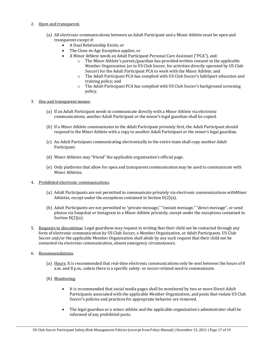#### 2. Open and transparent.

- (a) All electronic communications between an Adult Participant and a Minor Athlete must be open and transparent except if:<br>A Dual Relation
	- A Dual Relationship Exists; or
	- The Close-in-Age Exception applies; or
		- A Minor Athlete needs an Adult Participant Personal Care Assistant ("PCA"), and:<br>  $\circ$  The Minor Athlete's parent/guardian has provided written consent to the
			- The Minor Athlete's parent/guardian has provided written consent to the applicable Member Organization (or to US Club Soccer, for activities directly operated by US Club Soccer) for the Adult Participant PCA to work with the Minor Athlete; and
			- o The Adult Participant PCA has complied with US Club Soccer's SafeSport education and training policy; and
			- o The Adult Participant PCA has complied with US Club Soccer's background screening policy.

#### 3. One and transparent means:

- (a) If an Adult Participant needs to communicate directly with a Minor Athlete via electronic communications, another Adult Participant or the minor's legal guardian shall be copied.
- (b) If a Minor Athlete communicates to the Adult Participant privately first, the Adult Participant should respond to the Minor Athlete with a copy to another Adult Participant or the minor's legal guardian.
- (c) An Adult Participant communicating electronically to the entire team shall copy another Adult Participant.
- (d) Minor Athletes may "friend" the applicable organization's official page.
- (e) Only platforms that allow for open and transparent communication may be used to communicate with Minor Athletes.
- 4. Prohibited electronic communications.
	- (a) Adult Participants are not permitted to communicate privately via electronic communications withMinor Athletes, except under the exceptions contained in Section D(2)(a).
	- (b) Adult Participants are not permitted to "private message," "instant message," "direct message", or send photos via Snapchat or Instagram to a Minor Athlete privately, except under the exceptions contained in Section D(2)(a).
- 5. Requests to discontinue. Legal guardians may request in writing that their child not be contacted through any form of electronic communication by US Club Soccer, a Member Organization, or Adult Participants. US Club Soccer and/or the applicable Member Organization shall abide by any such request that their child not be contacted via electronic communication, absent emergency circumstances.
- 6. Recommendations.
	- (a) Hours. It is recommended that real-time electronic communications only be sent between the hours of 8 a.m. and 8 p.m., unless there is a specific safety- or soccer-related need to communicate.
	- (b) Monitoring.
		- It is recommended that social media pages shall be monitored by two or more Direct Adult Participants associated with the applicable Member Organization, and posts that violate US Club Soccer's policies and practices for appropriate behavior are removed.
		- The legal guardian or a minor athlete and the applicable organization's administrator shall be informed of any prohibited posts.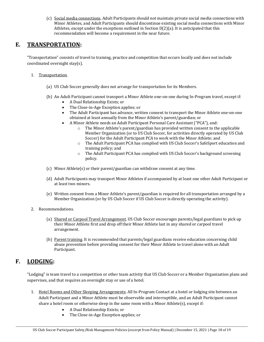(c) Social media connections. Adult Participants should not maintain private social media connections with Minor Athletes, and Adult Participants should discontinue existing social media connections with Minor Athletes, except under the exceptions outlined in Section D(2)(a). It is anticipated that this recommendation will become a requirement in the near future.

### **E. TRANSPORTATION:**

"Transportation" consists of travel to training, practice and competition that occurs locally and does not include coordinated overnight stay(s).

- 1. Transportation.
	- (a) US Club Soccer generally does not arrange for transportation for its Members.
	- (b) An Adult Participant cannot transport a Minor Athlete one-on-one during In-Program travel, except if:
		- A Dual Relationship Exists; or
		- The Close-in-Age Exception applies; or
		- The Adult Participant has advance, written consent to transport the Minor Athlete one-on-one obtained at least annually from the Minor Athlete's parent/guardian; or
		- A Minor Athlete needs an Adult Participant Personal Care Assistant ("PCA"), and:<br>  $\circ$  The Minor Athlete's parent/guardian has provided written consent to the
			- The Minor Athlete's parent/guardian has provided written consent to the applicable Member Organization (or to US Club Soccer, for activities directly operated by US Club Soccer) for the Adult Participant PCA to work with the Minor Athlete; and
			- o The Adult Participant PCA has complied with US Club Soccer's SafeSport education and training policy; and
			- o The Adult Participant PCA has complied with US Club Soccer's background screening policy.
	- (c) Minor Athlete(s) or their parent/guardian can withdraw consent at any time.
	- (d) Adult Participants may transport Minor Athletes if accompanied by at least one other Adult Participant or at least two minors.
	- (e) Written consent from a Minor Athlete's parent/guardian is required for all transportation arranged by a Member Organization (or by US Club Soccer if US Club Soccer is directly operating the activity).
- 2. Recommendations.
	- (a) Shared or Carpool Travel Arrangement. US Club Soccer encourages parents/legal guardians to pick up their Minor Athlete first and drop off their Minor Athlete last in any shared or carpool travel arrangement.
	- (b) Parent training. It is recommended that parents/legal guardians receive education concerning child abuse prevention before providing consent for their Minor Athlete to travel alone with an Adult Participant.

### **F. LODGING:**

"Lodging" is team travel to a competition or other team activity that US Club Soccer or a Member Organization plans and supervises, and that requires an overnight stay or use of a hotel.

- 1. Hotel Rooms and Other Sleeping Arrangements. All In-Program Contact at a hotel or lodging site between an Adult Participant and a Minor Athlete must be observable and interruptible, and an Adult Participant cannot share a hotel room or otherwise sleep in the same room with a Minor Athlete(s), except if:
	- A Dual Relationship Exists; or
	- The Close-in-Age Exception applies; or